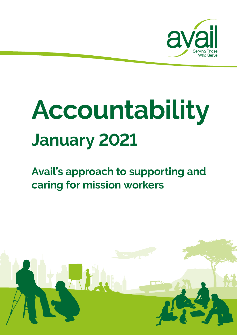

# **Accountability January 2021**

## **Avail's approach to supporting and caring for mission workers**

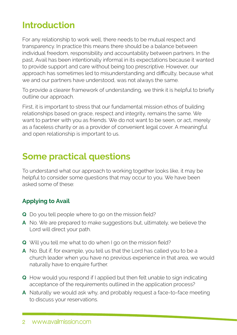## **Introduction**

For any relationship to work well, there needs to be mutual respect and transparency. In practice this means there should be a balance between individual freedom, responsibility and accountability between partners. In the past, Avail has been intentionally informal in its expectations because it wanted to provide support and care without being too prescriptive. However, our approach has sometimes led to misunderstanding and difficulty, because what we and our partners have understood, was not always the same.

To provide a clearer framework of understanding, we think it is helpful to briefly outline our approach.

First, it is important to stress that our fundamental mission ethos of building relationships based on grace, respect and integrity, remains the same. We want to partner with you as friends. We do not want to be seen, or act, merely as a faceless charity or as a provider of convenient legal cover. A meaningful and open relationship is important to us.

### **Some practical questions**

To understand what our approach to working together looks like, it may be helpful to consider some questions that may occur to you. We have been asked some of these:

#### **Applying to Avail**

- **Q** Do you tell people where to go on the mission field?
- **A** No. We are prepared to make suggestions but, ultimately, we believe the Lord will direct your path.
- **Q** Will you tell me what to do when I go on the mission field?
- **A** No. But if, for example, you tell us that the Lord has called you to be a church leader when you have no previous experience in that area, we would naturally have to enquire further.
- **Q** How would you respond if I applied but then felt unable to sign indicating acceptance of the requirements outlined in the application process?
- **A** Naturally we would ask why, and probably request a face-to-face meeting to discuss your reservations.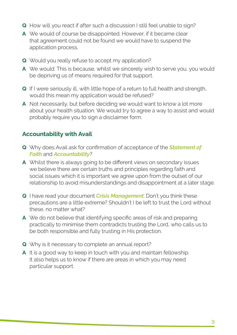- **Q** How will you react if after such a discussion I still feel unable to sign?
- **A** We would of course be disappointed. However, if it became clear that agreement could not be found we would have to suspend the application process.
- **Q** Would you really refuse to accept my application?
- **A** We would. This is because, whilst we sincerely wish to serve you, you would be depriving us of means required for that support.
- **Q** If I were seriously ill, with little hope of a return to full health and strength, would this mean my application would be refused?
- **A** Not necessarily, but before deciding we would want to know a lot more about your health situation. We would try to agree a way to assist and would probably require you to sign a disclaimer form.

#### **Accountability with Avail**

- **Q** Why does Avail ask for confirmation of acceptance of the *Statement of Faith* and *Accountability*?
- **A** Whilst there is always going to be different views on secondary issues we believe there are certain truths and principles regarding faith and social issues which it is important we agree upon from the outset of our relationship to avoid misunderstandings and disappointment at a later stage.
- **Q** I have read your document *Crisis Management*. Don't you think these precautions are a little extreme? Shouldn't I be left to trust the Lord without these, no matter what?
- **A** We do not believe that identifying specific areas of risk and preparing practically to minimise them contradicts trusting the Lord, who calls us to be both responsible and fully trusting in His protection.
- **Q** Why is it necessary to complete an annual report?
- **A** It is a good way to keep in touch with you and maintain fellowship. It also helps us to know if there are areas in which you may need particular support.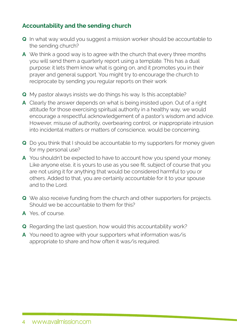#### **Accountability and the sending church**

- **Q** In what way would you suggest a mission worker should be accountable to the sending church?
- **A** We think a good way is to agree with the church that every three months you will send them a quarterly report using a template. This has a dual purpose: it lets them know what is going on, and it promotes you in their prayer and general support. You might try to encourage the church to reciprocate by sending you regular reports on their work
- **Q** My pastor always insists we do things his way. Is this acceptable?
- **A** Clearly the answer depends on what is being insisted upon. Out of a right attitude for those exercising spiritual authority in a healthy way, we would encourage a respectful acknowledgement of a pastor's wisdom and advice. However, misuse of authority, overbearing control, or inappropriate intrusion into incidental matters or matters of conscience, would be concerning.
- **Q** Do you think that I should be accountable to my supporters for money given for my personal use?
- **A** You shouldn't be expected to have to account how you spend your money. Like anyone else, it is yours to use as you see fit, subject of course that you are not using it for anything that would be considered harmful to you or others. Added to that, you are certainly accountable for it to your spouse and to the Lord.
- **Q** We also receive funding from the church and other supporters for projects. Should we be accountable to them for this?
- **A** Yes, of course.
- **Q** Regarding the last question, how would this accountability work?
- **A** You need to agree with your supporters what information was/is appropriate to share and how often it was/is required.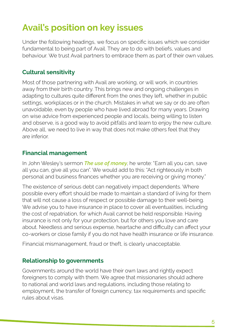## **Avail's position on key issues**

Under the following headings, we focus on specific issues which we consider fundamental to being part of Avail. They are to do with beliefs, values and behaviour. We trust Avail partners to embrace them as part of their own values.

#### **Cultural sensitivity**

Most of those partnering with Avail are working, or will work, in countries away from their birth country. This brings new and ongoing challenges in adapting to cultures quite different from the ones they left, whether in public settings, workplaces or in the church. Mistakes in what we say or do are often unavoidable, even by people who have lived abroad for many years. Drawing on wise advice from experienced people and locals, being willing to listen and observe, is a good way to avoid pitfalls and learn to enjoy the new culture. Above all, we need to live in way that does not make others feel that they are inferior.

#### **Financial management**

In John Wesley's sermon *The use of money*, he wrote: "Earn all you can, save all you can, give all you can". We would add to this: "Act righteously in both personal and business finances whether you are receiving or giving money."

The existence of serious debt can negatively impact dependents. Where possible every effort should be made to maintain a standard of living for them that will not cause a loss of respect or possible damage to their well-being. We advise you to have insurance in place to cover all eventualities, including the cost of repatriation, for which Avail cannot be held responsible. Having insurance is not only for your protection, but for others you love and care about. Needless and serious expense, heartache and difficulty can affect your co-workers or close family if you do not have health insurance or life insurance.

Financial mismanagement, fraud or theft, is clearly unacceptable.

#### **Relationship to governments**

Governments around the world have their own laws and rightly expect foreigners to comply with them. We agree that missionaries should adhere to national and world laws and regulations, including those relating to employment, the transfer of foreign currency, tax requirements and specific rules about visas.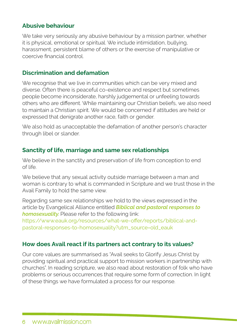#### **Abusive behaviour**

We take very seriously any abusive behaviour by a mission partner, whether it is physical, emotional or spiritual. We include intimidation, bullying, harassment, persistent blame of others or the exercise of manipulative or coercive financial control.

#### **Discrimination and defamation**

We recognise that we live in communities which can be very mixed and diverse. Often there is peaceful co-existence and respect but sometimes people become inconsiderate, harshly judgemental or unfeeling towards others who are different. While maintaining our Christian beliefs, we also need to maintain a Christian spirit. We would be concerned if attitudes are held or expressed that denigrate another race, faith or gender.

We also hold as unacceptable the defamation of another person's character through libel or slander.

#### **Sanctity of life, marriage and same sex relationships**

We believe in the sanctity and preservation of life from conception to end of life.

We believe that any sexual activity outside marriage between a man and woman is contrary to what is commanded in Scripture and we trust those in the Avail Family to hold the same view.

Regarding same sex relationships we hold to the views expressed in the article by Evangelical Alliance entitled *Biblical and pastoral responses to homosexuality*. Please refer to the following link: [https://www.eauk.org/resources/what-we-offer/reports/biblical-and](https://www.eauk.org/resources/what-we-offer/reports/biblical-and-pastoral-responses-to-homosexuality?utm_source=old_eauk)[pastoral-responses-to-homosexuality?utm\\_source=old\\_eauk](https://www.eauk.org/resources/what-we-offer/reports/biblical-and-pastoral-responses-to-homosexuality?utm_source=old_eauk)

#### **How does Avail react if its partners act contrary to its values?**

Our core values are summarised as "Avail seeks to Glorify Jesus Christ by providing spiritual and practical support to mission workers in partnership with churches". In reading scripture, we also read about restoration of folk who have problems or serious occurrences that require some form of correction. In light of these things we have formulated a process for our response.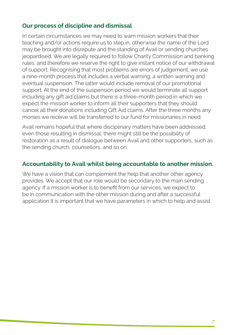#### **Our process of discipline and dismissal**

In certain circumstances we may need to warn mission workers that their teaching and/or actions require us to step in, otherwise the name of the Lord may be brought into disrepute and the standing of Avail or sending churches jeopardised. We are legally required to follow Charity Commission and banking rules, and therefore we reserve the right to give instant notice of our withdrawal of support. Recognising that most problems are errors of judgement, we use a nine-month process that includes a verbal warning, a written warning and eventual suspension. The latter would include removal of our promotional support. At the end of the suspension period we would terminate all support including any gift aid claims but there is a three-month period in which we expect the mission worker to inform all their supporters that they should cancel all their donations including Gift Aid claims. After the three months any monies we receive will be transferred to our fund for missionaries in need.

Avail remains hopeful that where disciplinary matters have been addressed, even those resulting in dismissal, there might still be the possibility of restoration as a result of dialogue between Avail and other supporters, such as the sending church, counsellors, and so on.

#### **Accountability to Avail whilst being accountable to another mission.**

We have a vision that can complement the help that another other agency provides. We accept that our role would be secondary to the main sending agency. If a mission worker is to benefit from our services, we expect to be in communication with the other mission during and after a successful application It is important that we have parameters in which to help and assist.